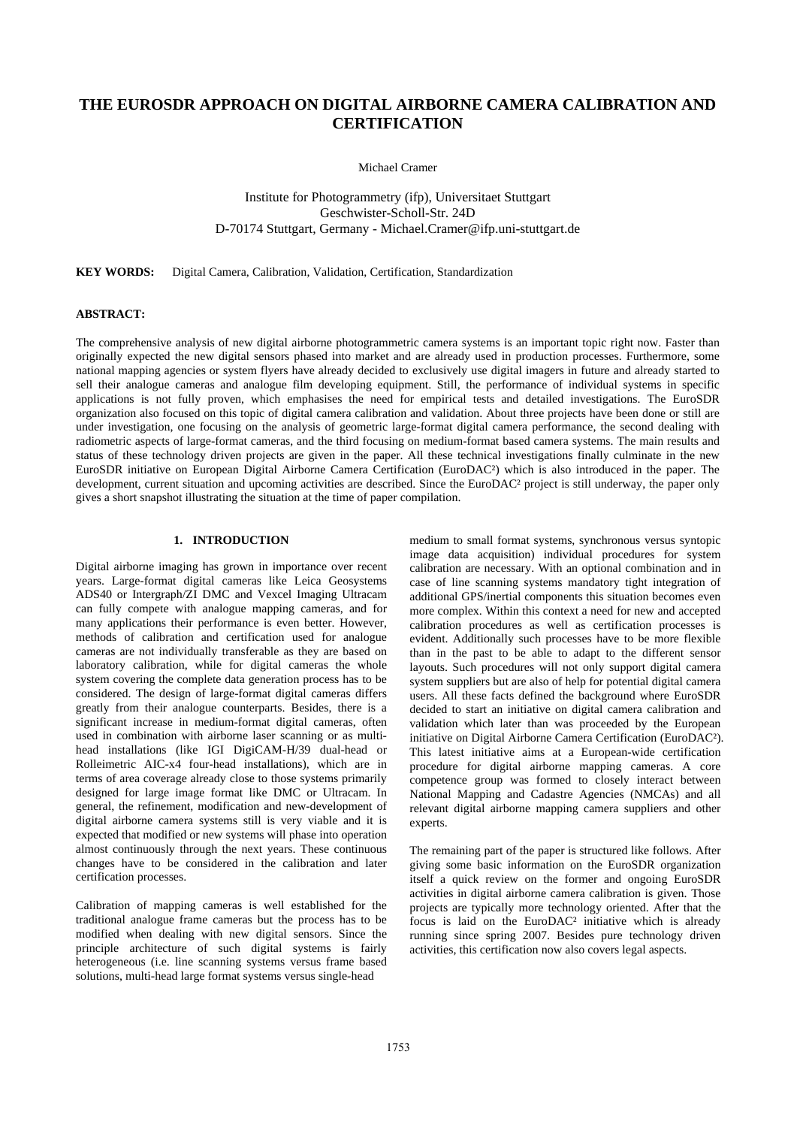# **THE EUROSDR APPROACH ON DIGITAL AIRBORNE CAMERA CALIBRATION AND CERTIFICATION**

Michael Cramer

Institute for Photogrammetry (ifp), Universitaet Stuttgart Geschwister-Scholl-Str. 24D D-70174 Stuttgart, Germany - Michael.Cramer@ifp.uni-stuttgart.de

**KEY WORDS:** Digital Camera, Calibration, Validation, Certification, Standardization

# **ABSTRACT:**

The comprehensive analysis of new digital airborne photogrammetric camera systems is an important topic right now. Faster than originally expected the new digital sensors phased into market and are already used in production processes. Furthermore, some national mapping agencies or system flyers have already decided to exclusively use digital imagers in future and already started to sell their analogue cameras and analogue film developing equipment. Still, the performance of individual systems in specific applications is not fully proven, which emphasises the need for empirical tests and detailed investigations. The EuroSDR organization also focused on this topic of digital camera calibration and validation. About three projects have been done or still are under investigation, one focusing on the analysis of geometric large-format digital camera performance, the second dealing with radiometric aspects of large-format cameras, and the third focusing on medium-format based camera systems. The main results and status of these technology driven projects are given in the paper. All these technical investigations finally culminate in the new EuroSDR initiative on European Digital Airborne Camera Certification (EuroDAC²) which is also introduced in the paper. The development, current situation and upcoming activities are described. Since the EuroDAC<sup>2</sup> project is still underway, the paper only gives a short snapshot illustrating the situation at the time of paper compilation.

# **1. INTRODUCTION**

Digital airborne imaging has grown in importance over recent years. Large-format digital cameras like Leica Geosystems ADS40 or Intergraph/ZI DMC and Vexcel Imaging Ultracam can fully compete with analogue mapping cameras, and for many applications their performance is even better. However, methods of calibration and certification used for analogue cameras are not individually transferable as they are based on laboratory calibration, while for digital cameras the whole system covering the complete data generation process has to be considered. The design of large-format digital cameras differs greatly from their analogue counterparts. Besides, there is a significant increase in medium-format digital cameras, often used in combination with airborne laser scanning or as multihead installations (like IGI DigiCAM-H/39 dual-head or Rolleimetric AIC-x4 four-head installations), which are in terms of area coverage already close to those systems primarily designed for large image format like DMC or Ultracam. In general, the refinement, modification and new-development of digital airborne camera systems still is very viable and it is expected that modified or new systems will phase into operation almost continuously through the next years. These continuous changes have to be considered in the calibration and later certification processes.

Calibration of mapping cameras is well established for the traditional analogue frame cameras but the process has to be modified when dealing with new digital sensors. Since the principle architecture of such digital systems is fairly heterogeneous (i.e. line scanning systems versus frame based solutions, multi-head large format systems versus single-head

medium to small format systems, synchronous versus syntopic image data acquisition) individual procedures for system calibration are necessary. With an optional combination and in case of line scanning systems mandatory tight integration of additional GPS/inertial components this situation becomes even more complex. Within this context a need for new and accepted calibration procedures as well as certification processes is evident. Additionally such processes have to be more flexible than in the past to be able to adapt to the different sensor layouts. Such procedures will not only support digital camera system suppliers but are also of help for potential digital camera users. All these facts defined the background where EuroSDR decided to start an initiative on digital camera calibration and validation which later than was proceeded by the European initiative on Digital Airborne Camera Certification (EuroDAC²). This latest initiative aims at a European-wide certification procedure for digital airborne mapping cameras. A core competence group was formed to closely interact between National Mapping and Cadastre Agencies (NMCAs) and all relevant digital airborne mapping camera suppliers and other experts.

The remaining part of the paper is structured like follows. After giving some basic information on the EuroSDR organization itself a quick review on the former and ongoing EuroSDR activities in digital airborne camera calibration is given. Those projects are typically more technology oriented. After that the focus is laid on the EuroDAC² initiative which is already running since spring 2007. Besides pure technology driven activities, this certification now also covers legal aspects.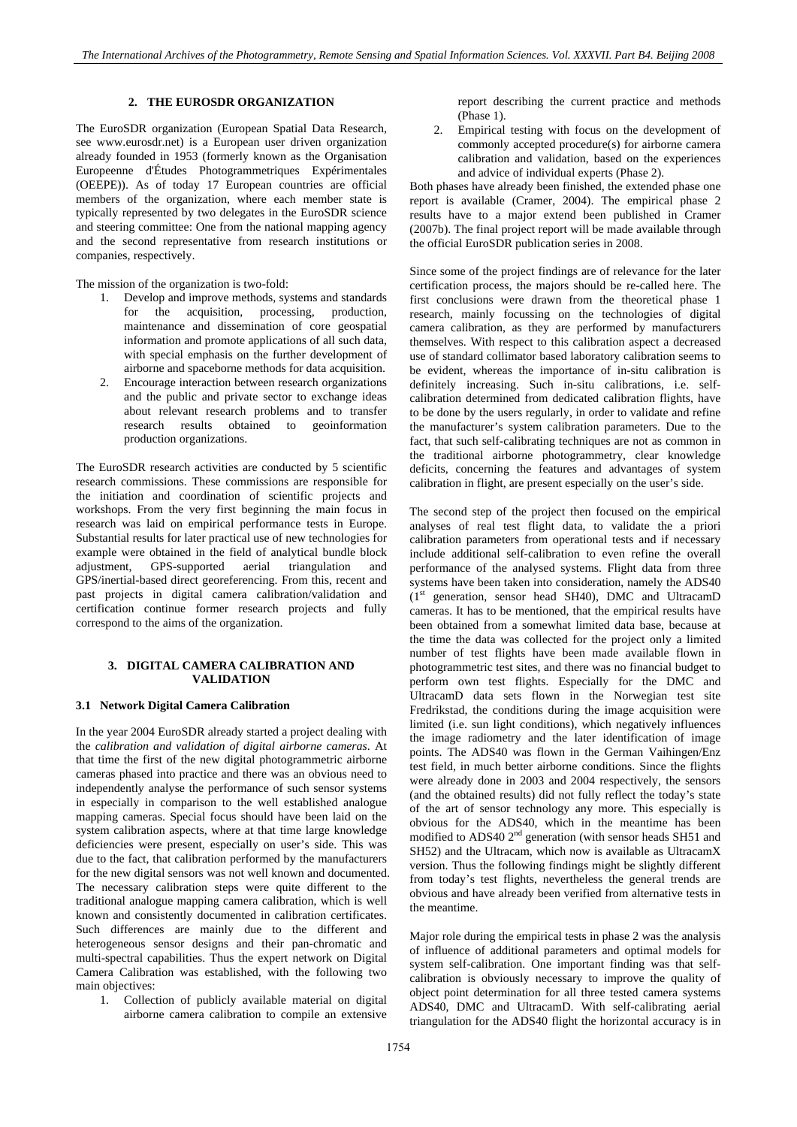# **2. THE EUROSDR ORGANIZATION**

The EuroSDR organization (European Spatial Data Research, see www.eurosdr.net) is a European user driven organization already founded in 1953 (formerly known as the Organisation Europeenne d'Études Photogrammetriques Expérimentales (OEEPE)). As of today 17 European countries are official members of the organization, where each member state is typically represented by two delegates in the EuroSDR science and steering committee: One from the national mapping agency and the second representative from research institutions or companies, respectively.

The mission of the organization is two-fold:

- 1. Develop and improve methods, systems and standards for the acquisition, processing, production, maintenance and dissemination of core geospatial information and promote applications of all such data, with special emphasis on the further development of airborne and spaceborne methods for data acquisition.
- 2. Encourage interaction between research organizations and the public and private sector to exchange ideas about relevant research problems and to transfer research results obtained to geoinformation production organizations.

The EuroSDR research activities are conducted by 5 scientific research commissions. These commissions are responsible for the initiation and coordination of scientific projects and workshops. From the very first beginning the main focus in research was laid on empirical performance tests in Europe. Substantial results for later practical use of new technologies for example were obtained in the field of analytical bundle block adjustment, GPS-supported aerial triangulation and GPS/inertial-based direct georeferencing. From this, recent and past projects in digital camera calibration/validation and certification continue former research projects and fully correspond to the aims of the organization.

## **3. DIGITAL CAMERA CALIBRATION AND VALIDATION**

#### **3.1 Network Digital Camera Calibration**

In the year 2004 EuroSDR already started a project dealing with the *calibration and validation of digital airborne cameras*. At that time the first of the new digital photogrammetric airborne cameras phased into practice and there was an obvious need to independently analyse the performance of such sensor systems in especially in comparison to the well established analogue mapping cameras. Special focus should have been laid on the system calibration aspects, where at that time large knowledge deficiencies were present, especially on user's side. This was due to the fact, that calibration performed by the manufacturers for the new digital sensors was not well known and documented. The necessary calibration steps were quite different to the traditional analogue mapping camera calibration, which is well known and consistently documented in calibration certificates. Such differences are mainly due to the different and heterogeneous sensor designs and their pan-chromatic and multi-spectral capabilities. Thus the expert network on Digital Camera Calibration was established, with the following two main objectives:

1. Collection of publicly available material on digital airborne camera calibration to compile an extensive

report describing the current practice and methods (Phase 1).

2. Empirical testing with focus on the development of commonly accepted procedure(s) for airborne camera calibration and validation, based on the experiences and advice of individual experts (Phase 2).

Both phases have already been finished, the extended phase one report is available (Cramer, 2004). The empirical phase 2 results have to a major extend been published in Cramer (2007b). The final project report will be made available through the official EuroSDR publication series in 2008.

Since some of the project findings are of relevance for the later certification process, the majors should be re-called here. The first conclusions were drawn from the theoretical phase 1 research, mainly focussing on the technologies of digital camera calibration, as they are performed by manufacturers themselves. With respect to this calibration aspect a decreased use of standard collimator based laboratory calibration seems to be evident, whereas the importance of in-situ calibration is definitely increasing. Such in-situ calibrations, i.e. selfcalibration determined from dedicated calibration flights, have to be done by the users regularly, in order to validate and refine the manufacturer's system calibration parameters. Due to the fact, that such self-calibrating techniques are not as common in the traditional airborne photogrammetry, clear knowledge deficits, concerning the features and advantages of system calibration in flight, are present especially on the user's side.

The second step of the project then focused on the empirical analyses of real test flight data, to validate the a priori calibration parameters from operational tests and if necessary include additional self-calibration to even refine the overall performance of the analysed systems. Flight data from three systems have been taken into consideration, namely the ADS40  $(1<sup>st</sup> generation, sensor head SH40)$ , DMC and UltracamD cameras. It has to be mentioned, that the empirical results have been obtained from a somewhat limited data base, because at the time the data was collected for the project only a limited number of test flights have been made available flown in photogrammetric test sites, and there was no financial budget to perform own test flights. Especially for the DMC and UltracamD data sets flown in the Norwegian test site Fredrikstad, the conditions during the image acquisition were limited (i.e. sun light conditions), which negatively influences the image radiometry and the later identification of image points. The ADS40 was flown in the German Vaihingen/Enz test field, in much better airborne conditions. Since the flights were already done in 2003 and 2004 respectively, the sensors (and the obtained results) did not fully reflect the today's state of the art of sensor technology any more. This especially is obvious for the ADS40, which in the meantime has been modified to ADS40 2<sup>nd</sup> generation (with sensor heads SH51 and SH52) and the Ultracam, which now is available as UltracamX version. Thus the following findings might be slightly different from today's test flights, nevertheless the general trends are obvious and have already been verified from alternative tests in the meantime.

Major role during the empirical tests in phase 2 was the analysis of influence of additional parameters and optimal models for system self-calibration. One important finding was that selfcalibration is obviously necessary to improve the quality of object point determination for all three tested camera systems ADS40, DMC and UltracamD. With self-calibrating aerial triangulation for the ADS40 flight the horizontal accuracy is in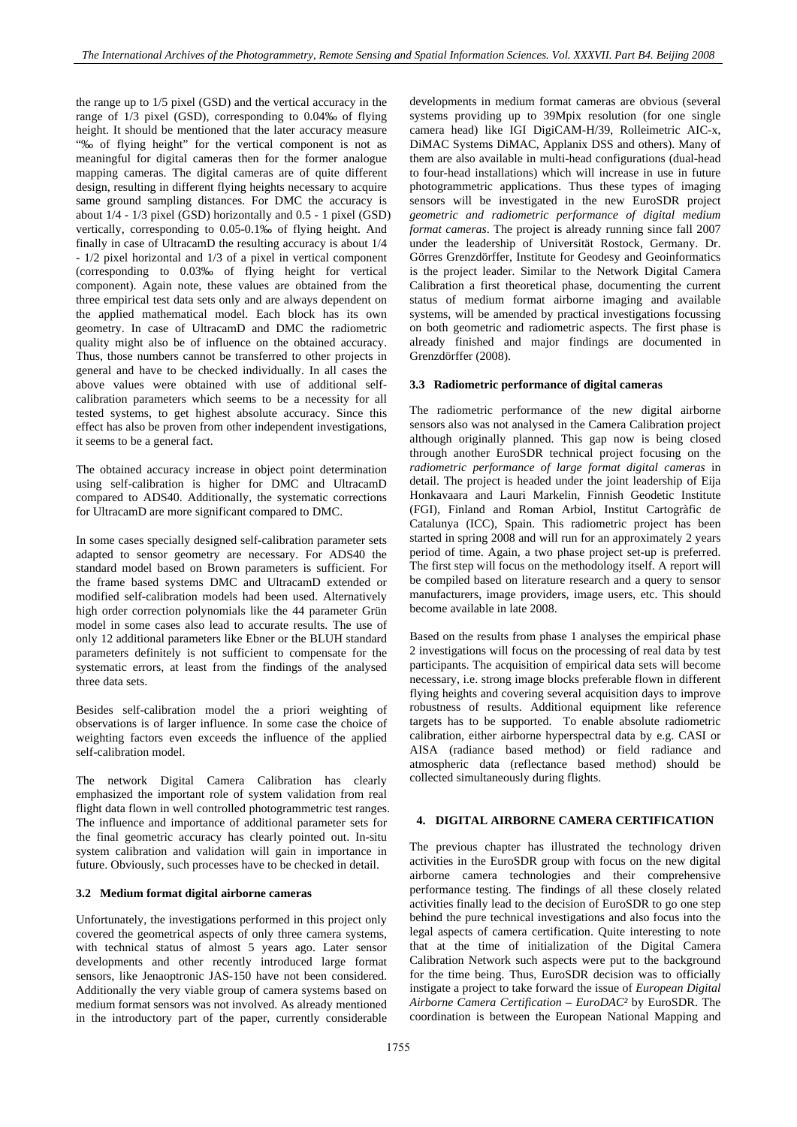the range up to 1/5 pixel (GSD) and the vertical accuracy in the range of 1/3 pixel (GSD), corresponding to 0.04‰ of flying height. It should be mentioned that the later accuracy measure "‰ of flying height" for the vertical component is not as meaningful for digital cameras then for the former analogue mapping cameras. The digital cameras are of quite different design, resulting in different flying heights necessary to acquire same ground sampling distances. For DMC the accuracy is about 1/4 - 1/3 pixel (GSD) horizontally and 0.5 - 1 pixel (GSD) vertically, corresponding to 0.05-0.1‰ of flying height. And finally in case of UltracamD the resulting accuracy is about 1/4 - 1/2 pixel horizontal and 1/3 of a pixel in vertical component (corresponding to 0.03‰ of flying height for vertical component). Again note, these values are obtained from the three empirical test data sets only and are always dependent on the applied mathematical model. Each block has its own geometry. In case of UltracamD and DMC the radiometric quality might also be of influence on the obtained accuracy. Thus, those numbers cannot be transferred to other projects in general and have to be checked individually. In all cases the above values were obtained with use of additional selfcalibration parameters which seems to be a necessity for all tested systems, to get highest absolute accuracy. Since this effect has also be proven from other independent investigations, it seems to be a general fact.

The obtained accuracy increase in object point determination using self-calibration is higher for DMC and UltracamD compared to ADS40. Additionally, the systematic corrections for UltracamD are more significant compared to DMC.

In some cases specially designed self-calibration parameter sets adapted to sensor geometry are necessary. For ADS40 the standard model based on Brown parameters is sufficient. For the frame based systems DMC and UltracamD extended or modified self-calibration models had been used. Alternatively high order correction polynomials like the 44 parameter Grün model in some cases also lead to accurate results. The use of only 12 additional parameters like Ebner or the BLUH standard parameters definitely is not sufficient to compensate for the systematic errors, at least from the findings of the analysed three data sets.

Besides self-calibration model the a priori weighting of observations is of larger influence. In some case the choice of weighting factors even exceeds the influence of the applied self-calibration model.

The network Digital Camera Calibration has clearly emphasized the important role of system validation from real flight data flown in well controlled photogrammetric test ranges. The influence and importance of additional parameter sets for the final geometric accuracy has clearly pointed out. In-situ system calibration and validation will gain in importance in future. Obviously, such processes have to be checked in detail.

### **3.2 Medium format digital airborne cameras**

Unfortunately, the investigations performed in this project only covered the geometrical aspects of only three camera systems, with technical status of almost 5 years ago. Later sensor developments and other recently introduced large format sensors, like Jenaoptronic JAS-150 have not been considered. Additionally the very viable group of camera systems based on medium format sensors was not involved. As already mentioned in the introductory part of the paper, currently considerable developments in medium format cameras are obvious (several systems providing up to 39Mpix resolution (for one single camera head) like IGI DigiCAM-H/39, Rolleimetric AIC-x, DiMAC Systems DiMAC, Applanix DSS and others). Many of them are also available in multi-head configurations (dual-head to four-head installations) which will increase in use in future photogrammetric applications. Thus these types of imaging sensors will be investigated in the new EuroSDR project *geometric and radiometric performance of digital medium format cameras*. The project is already running since fall 2007 under the leadership of Universität Rostock, Germany. Dr. Görres Grenzdörffer, Institute for Geodesy and Geoinformatics is the project leader. Similar to the Network Digital Camera Calibration a first theoretical phase, documenting the current status of medium format airborne imaging and available systems, will be amended by practical investigations focussing on both geometric and radiometric aspects. The first phase is already finished and major findings are documented in Grenzdörffer (2008).

#### **3.3 Radiometric performance of digital cameras**

The radiometric performance of the new digital airborne sensors also was not analysed in the Camera Calibration project although originally planned. This gap now is being closed through another EuroSDR technical project focusing on the *radiometric performance of large format digital cameras* in detail. The project is headed under the joint leadership of Eija Honkavaara and Lauri Markelin, Finnish Geodetic Institute (FGI), Finland and Roman Arbiol, Institut Cartogràfic de Catalunya (ICC), Spain. This radiometric project has been started in spring 2008 and will run for an approximately 2 years period of time. Again, a two phase project set-up is preferred. The first step will focus on the methodology itself. A report will be compiled based on literature research and a query to sensor manufacturers, image providers, image users, etc. This should become available in late 2008.

Based on the results from phase 1 analyses the empirical phase 2 investigations will focus on the processing of real data by test participants. The acquisition of empirical data sets will become necessary, i.e. strong image blocks preferable flown in different flying heights and covering several acquisition days to improve robustness of results. Additional equipment like reference targets has to be supported. To enable absolute radiometric calibration, either airborne hyperspectral data by e.g. CASI or AISA (radiance based method) or field radiance and atmospheric data (reflectance based method) should be collected simultaneously during flights.

## **4. DIGITAL AIRBORNE CAMERA CERTIFICATION**

The previous chapter has illustrated the technology driven activities in the EuroSDR group with focus on the new digital airborne camera technologies and their comprehensive performance testing. The findings of all these closely related activities finally lead to the decision of EuroSDR to go one step behind the pure technical investigations and also focus into the legal aspects of camera certification. Quite interesting to note that at the time of initialization of the Digital Camera Calibration Network such aspects were put to the background for the time being. Thus, EuroSDR decision was to officially instigate a project to take forward the issue of *European Digital Airborne Camera Certification – EuroDAC²* by EuroSDR. The coordination is between the European National Mapping and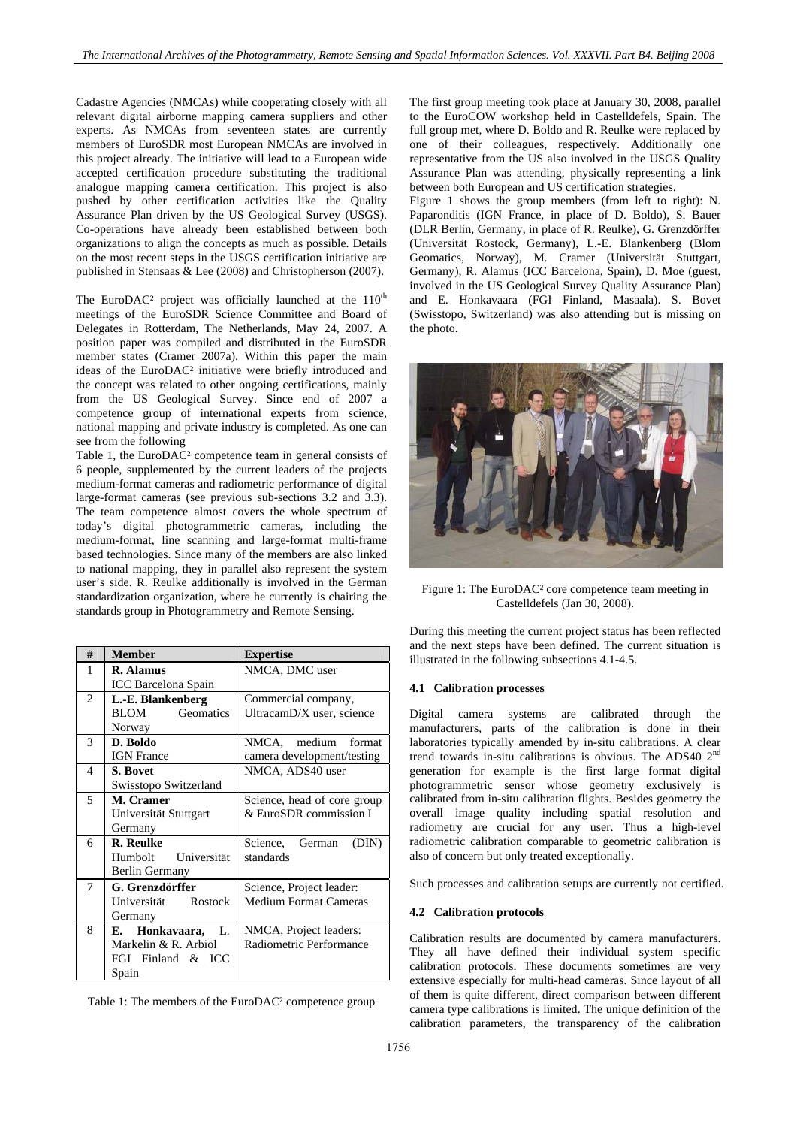Cadastre Agencies (NMCAs) while cooperating closely with all relevant digital airborne mapping camera suppliers and other experts. As NMCAs from seventeen states are currently members of EuroSDR most European NMCAs are involved in this project already. The initiative will lead to a European wide accepted certification procedure substituting the traditional analogue mapping camera certification. This project is also pushed by other certification activities like the Quality Assurance Plan driven by the US Geological Survey (USGS). Co-operations have already been established between both organizations to align the concepts as much as possible. Details on the most recent steps in the USGS certification initiative are published in Stensaas & Lee (2008) and Christopherson (2007).

The EuroDAC<sup>2</sup> project was officially launched at the  $110<sup>th</sup>$ meetings of the EuroSDR Science Committee and Board of Delegates in Rotterdam, The Netherlands, May 24, 2007. A position paper was compiled and distributed in the EuroSDR member states (Cramer 2007a). Within this paper the main ideas of the EuroDAC² initiative were briefly introduced and the concept was related to other ongoing certifications, mainly from the US Geological Survey. Since end of 2007 a competence group of international experts from science, national mapping and private industry is completed. As one can see from the following

Table 1, the EuroDAC² competence team in general consists of 6 people, supplemented by the current leaders of the projects medium-format cameras and radiometric performance of digital large-format cameras (see previous sub-sections 3.2 and 3.3). The team competence almost covers the whole spectrum of today's digital photogrammetric cameras, including the medium-format, line scanning and large-format multi-frame based technologies. Since many of the members are also linked to national mapping, they in parallel also represent the system user's side. R. Reulke additionally is involved in the German standardization organization, where he currently is chairing the standards group in Photogrammetry and Remote Sensing.

| #              | <b>Member</b>                   | <b>Expertise</b>             |
|----------------|---------------------------------|------------------------------|
| 1              | R. Alamus                       | NMCA, DMC user               |
|                | ICC Barcelona Spain             |                              |
| $\overline{c}$ | L.-E. Blankenberg               | Commercial company,          |
|                | <b>BLOM</b><br><b>Geomatics</b> | UltracamD/X user, science    |
|                | Norway                          |                              |
| 3              | D. Boldo                        | NMCA, medium format          |
|                | <b>IGN</b> France               | camera development/testing   |
| 4              | S. Bovet                        | NMCA, ADS40 user             |
|                | Swisstopo Switzerland           |                              |
| 5              | M. Cramer                       | Science, head of core group  |
|                | Universität Stuttgart           | & EuroSDR commission I       |
|                | Germany                         |                              |
| 6              | <b>R.</b> Reulke                | German<br>Science,<br>(DIN)  |
|                | Universität<br>Humbolt          | standards                    |
|                | Berlin Germany                  |                              |
| 7              | G. Grenzdörffer                 | Science, Project leader:     |
|                | Universität Rostock             | <b>Medium Format Cameras</b> |
|                | Germany                         |                              |
| 8              | Honkavaara,<br>Е.<br>L.         | NMCA, Project leaders:       |
|                | Markelin & R. Arbiol            | Radiometric Performance      |
|                | FGI Finland & ICC               |                              |
|                | Spain                           |                              |

Table 1: The members of the EuroDAC² competence group

The first group meeting took place at January 30, 2008, parallel to the EuroCOW workshop held in Castelldefels, Spain. The full group met, where D. Boldo and R. Reulke were replaced by one of their colleagues, respectively. Additionally one representative from the US also involved in the USGS Quality Assurance Plan was attending, physically representing a link between both European and US certification strategies.

Figure 1 shows the group members (from left to right): N. Paparonditis (IGN France, in place of D. Boldo), S. Bauer (DLR Berlin, Germany, in place of R. Reulke), G. Grenzdörffer (Universität Rostock, Germany), L.-E. Blankenberg (Blom Geomatics, Norway), M. Cramer (Universität Stuttgart, Germany), R. Alamus (ICC Barcelona, Spain), D. Moe (guest, involved in the US Geological Survey Quality Assurance Plan) and E. Honkavaara (FGI Finland, Masaala). S. Bovet (Swisstopo, Switzerland) was also attending but is missing on the photo.



Figure 1: The EuroDAC² core competence team meeting in Castelldefels (Jan 30, 2008).

During this meeting the current project status has been reflected and the next steps have been defined. The current situation is illustrated in the following subsections 4.1-4.5.

## **4.1 Calibration processes**

Digital camera systems are calibrated through the manufacturers, parts of the calibration is done in their laboratories typically amended by in-situ calibrations. A clear trend towards in-situ calibrations is obvious. The ADS40 2nd generation for example is the first large format digital photogrammetric sensor whose geometry exclusively is calibrated from in-situ calibration flights. Besides geometry the overall image quality including spatial resolution and radiometry are crucial for any user. Thus a high-level radiometric calibration comparable to geometric calibration is also of concern but only treated exceptionally.

Such processes and calibration setups are currently not certified.

#### **4.2 Calibration protocols**

Calibration results are documented by camera manufacturers. They all have defined their individual system specific calibration protocols. These documents sometimes are very extensive especially for multi-head cameras. Since layout of all of them is quite different, direct comparison between different camera type calibrations is limited. The unique definition of the calibration parameters, the transparency of the calibration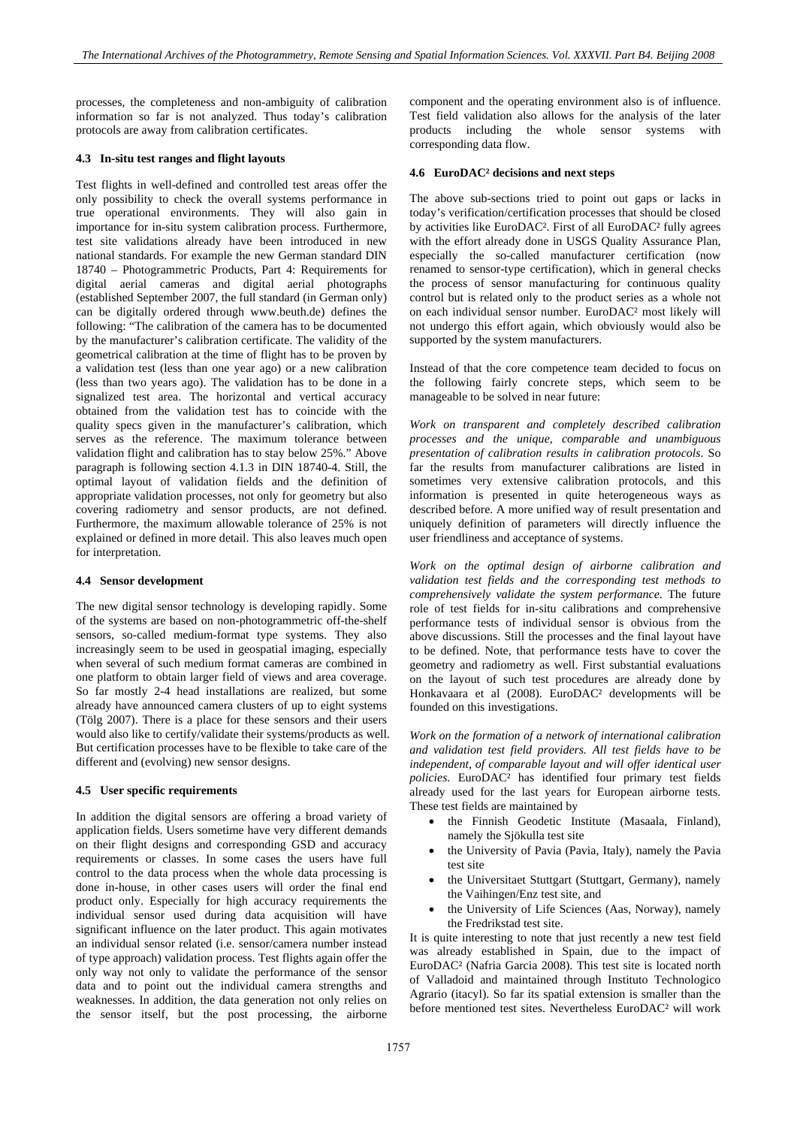processes, the completeness and non-ambiguity of calibration information so far is not analyzed. Thus today's calibration protocols are away from calibration certificates.

### **4.3 In-situ test ranges and flight layouts**

Test flights in well-defined and controlled test areas offer the only possibility to check the overall systems performance in true operational environments. They will also gain in importance for in-situ system calibration process. Furthermore, test site validations already have been introduced in new national standards. For example the new German standard DIN 18740 – Photogrammetric Products, Part 4: Requirements for digital aerial cameras and digital aerial photographs (established September 2007, the full standard (in German only) can be digitally ordered through www.beuth.de) defines the following: "The calibration of the camera has to be documented by the manufacturer's calibration certificate. The validity of the geometrical calibration at the time of flight has to be proven by a validation test (less than one year ago) or a new calibration (less than two years ago). The validation has to be done in a signalized test area. The horizontal and vertical accuracy obtained from the validation test has to coincide with the quality specs given in the manufacturer's calibration, which serves as the reference. The maximum tolerance between validation flight and calibration has to stay below 25%." Above paragraph is following section 4.1.3 in DIN 18740-4. Still, the optimal layout of validation fields and the definition of appropriate validation processes, not only for geometry but also covering radiometry and sensor products, are not defined. Furthermore, the maximum allowable tolerance of 25% is not explained or defined in more detail. This also leaves much open for interpretation.

### **4.4 Sensor development**

The new digital sensor technology is developing rapidly. Some of the systems are based on non-photogrammetric off-the-shelf sensors, so-called medium-format type systems. They also increasingly seem to be used in geospatial imaging, especially when several of such medium format cameras are combined in one platform to obtain larger field of views and area coverage. So far mostly 2-4 head installations are realized, but some already have announced camera clusters of up to eight systems (Tölg 2007). There is a place for these sensors and their users would also like to certify/validate their systems/products as well. But certification processes have to be flexible to take care of the different and (evolving) new sensor designs.

### **4.5 User specific requirements**

In addition the digital sensors are offering a broad variety of application fields. Users sometime have very different demands on their flight designs and corresponding GSD and accuracy requirements or classes. In some cases the users have full control to the data process when the whole data processing is done in-house, in other cases users will order the final end product only. Especially for high accuracy requirements the individual sensor used during data acquisition will have significant influence on the later product. This again motivates an individual sensor related (i.e. sensor/camera number instead of type approach) validation process. Test flights again offer the only way not only to validate the performance of the sensor data and to point out the individual camera strengths and weaknesses. In addition, the data generation not only relies on the sensor itself, but the post processing, the airborne

component and the operating environment also is of influence. Test field validation also allows for the analysis of the later products including the whole sensor systems with corresponding data flow.

#### **4.6 EuroDAC² decisions and next steps**

The above sub-sections tried to point out gaps or lacks in today's verification/certification processes that should be closed by activities like EuroDAC². First of all EuroDAC² fully agrees with the effort already done in USGS Quality Assurance Plan, especially the so-called manufacturer certification (now renamed to sensor-type certification), which in general checks the process of sensor manufacturing for continuous quality control but is related only to the product series as a whole not on each individual sensor number. EuroDAC² most likely will not undergo this effort again, which obviously would also be supported by the system manufacturers.

Instead of that the core competence team decided to focus on the following fairly concrete steps, which seem to be manageable to be solved in near future:

*Work on transparent and completely described calibration processes and the unique, comparable and unambiguous presentation of calibration results in calibration protocols*. So far the results from manufacturer calibrations are listed in sometimes very extensive calibration protocols, and this information is presented in quite heterogeneous ways as described before. A more unified way of result presentation and uniquely definition of parameters will directly influence the user friendliness and acceptance of systems.

*Work on the optimal design of airborne calibration and validation test fields and the corresponding test methods to comprehensively validate the system performance*. The future role of test fields for in-situ calibrations and comprehensive performance tests of individual sensor is obvious from the above discussions. Still the processes and the final layout have to be defined. Note, that performance tests have to cover the geometry and radiometry as well. First substantial evaluations on the layout of such test procedures are already done by Honkavaara et al (2008). EuroDAC² developments will be founded on this investigations.

*Work on the formation of a network of international calibration and validation test field providers. All test fields have to be independent, of comparable layout and will offer identical user policies*. EuroDAC² has identified four primary test fields already used for the last years for European airborne tests. These test fields are maintained by

- the Finnish Geodetic Institute (Masaala, Finland), namely the Sjökulla test site
- the University of Pavia (Pavia, Italy), namely the Pavia test site
- the Universitaet Stuttgart (Stuttgart, Germany), namely the Vaihingen/Enz test site, and
- the University of Life Sciences (Aas, Norway), namely the Fredrikstad test site.

It is quite interesting to note that just recently a new test field was already established in Spain, due to the impact of EuroDAC² (Nafria Garcia 2008). This test site is located north of Valladoid and maintained through Instituto Technologico Agrario (itacyl). So far its spatial extension is smaller than the before mentioned test sites. Nevertheless EuroDAC² will work